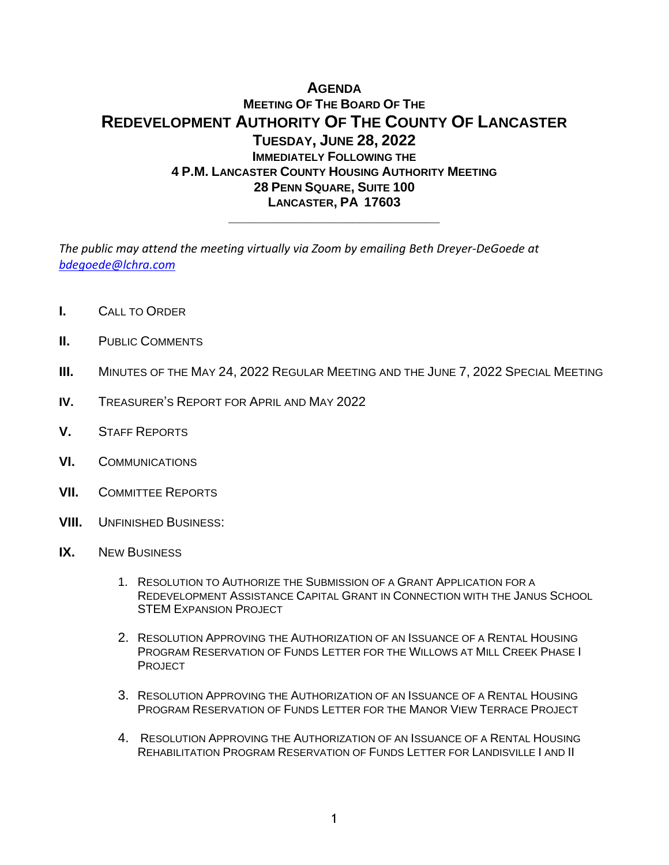# **AGENDA MEETING OF THE BOARD OF THE REDEVELOPMENT AUTHORITY OF THE COUNTY OF LANCASTER TUESDAY, JUNE 28, 2022 IMMEDIATELY FOLLOWING THE 4 P.M. LANCASTER COUNTY HOUSING AUTHORITY MEETING 28 PENN SQUARE, SUITE 100 LANCASTER, PA 17603**

**\_\_\_\_\_\_\_\_\_\_\_\_\_\_\_\_\_\_\_\_\_\_\_\_\_\_\_\_\_**

*The public may attend the meeting virtually via Zoom by emailing Beth Dreyer-DeGoede at [bdegoede@lchra.com](mailto:bdegoede@lchra.com)*

- **I.** CALL TO ORDER
- **II.** PUBLIC COMMENTS
- **III.** MINUTES OF THE MAY 24, 2022 REGULAR MEETING AND THE JUNE 7, 2022 SPECIAL MEETING
- **IV.** TREASURER'S REPORT FOR APRIL AND MAY 2022
- **V.** STAFF REPORTS
- **VI.** COMMUNICATIONS
- **VII.** COMMITTEE REPORTS
- **VIII.** UNFINISHED BUSINESS:
- **IX.** NEW BUSINESS
	- 1. RESOLUTION TO AUTHORIZE THE SUBMISSION OF A GRANT APPLICATION FOR A REDEVELOPMENT ASSISTANCE CAPITAL GRANT IN CONNECTION WITH THE JANUS SCHOOL STEM EXPANSION PROJECT
	- 2. RESOLUTION APPROVING THE AUTHORIZATION OF AN ISSUANCE OF A RENTAL HOUSING PROGRAM RESERVATION OF FUNDS LETTER FOR THE WILLOWS AT MILL CREEK PHASE I **PROJECT**
	- 3. RESOLUTION APPROVING THE AUTHORIZATION OF AN ISSUANCE OF A RENTAL HOUSING PROGRAM RESERVATION OF FUNDS LETTER FOR THE MANOR VIEW TERRACE PROJECT
	- 4. RESOLUTION APPROVING THE AUTHORIZATION OF AN ISSUANCE OF A RENTAL HOUSING REHABILITATION PROGRAM RESERVATION OF FUNDS LETTER FOR LANDISVILLE I AND II